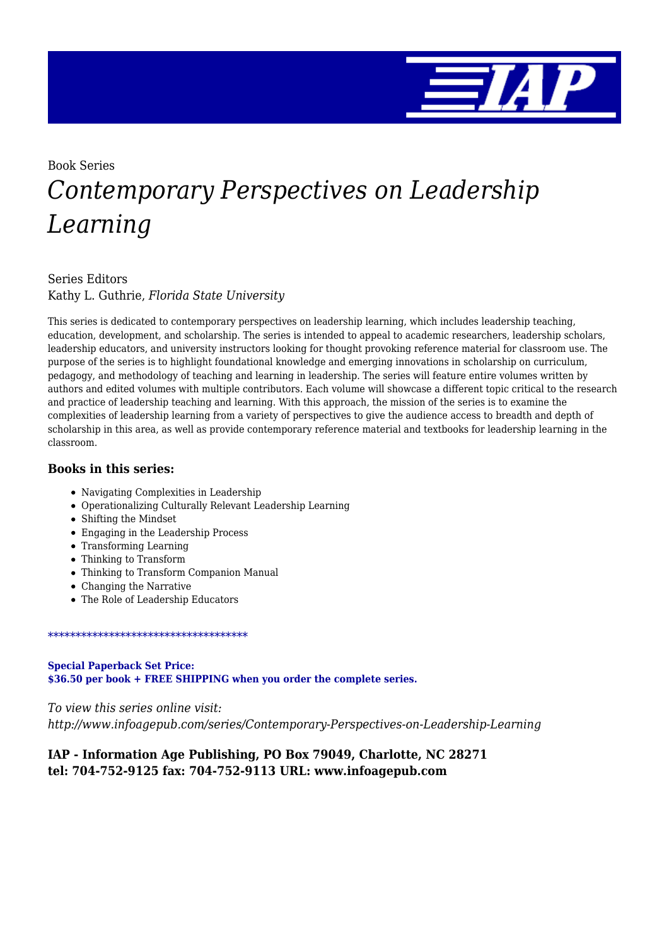

# Book Series *Contemporary Perspectives on Leadership Learning*

#### Series Editors Kathy L. Guthrie, *Florida State University*

This series is dedicated to contemporary perspectives on leadership learning, which includes leadership teaching, education, development, and scholarship. The series is intended to appeal to academic researchers, leadership scholars, leadership educators, and university instructors looking for thought provoking reference material for classroom use. The purpose of the series is to highlight foundational knowledge and emerging innovations in scholarship on curriculum, pedagogy, and methodology of teaching and learning in leadership. The series will feature entire volumes written by authors and edited volumes with multiple contributors. Each volume will showcase a different topic critical to the research and practice of leadership teaching and learning. With this approach, the mission of the series is to examine the complexities of leadership learning from a variety of perspectives to give the audience access to breadth and depth of scholarship in this area, as well as provide contemporary reference material and textbooks for leadership learning in the classroom.

#### **Books in this series:**

- Navigating Complexities in Leadership
- Operationalizing Culturally Relevant Leadership Learning
- Shifting the Mindset
- Engaging in the Leadership Process
- Transforming Learning
- Thinking to Transform
- Thinking to Transform Companion Manual
- Changing the Narrative
- The Role of Leadership Educators

#### \*\*\*\*\*\*\*\*\*\*\*\*\*\*\*\*\*\*\*\*\*\*\*\*\*\*\*\*\*\*\*\*\*\*\*\*

**Special Paperback Set Price: \$36.50 per book + FREE SHIPPING when you order the complete series.**

*To view this series online visit: http://www.infoagepub.com/series/Contemporary-Perspectives-on-Leadership-Learning*

#### **IAP - Information Age Publishing, PO Box 79049, Charlotte, NC 28271 tel: 704-752-9125 fax: 704-752-9113 URL: www.infoagepub.com**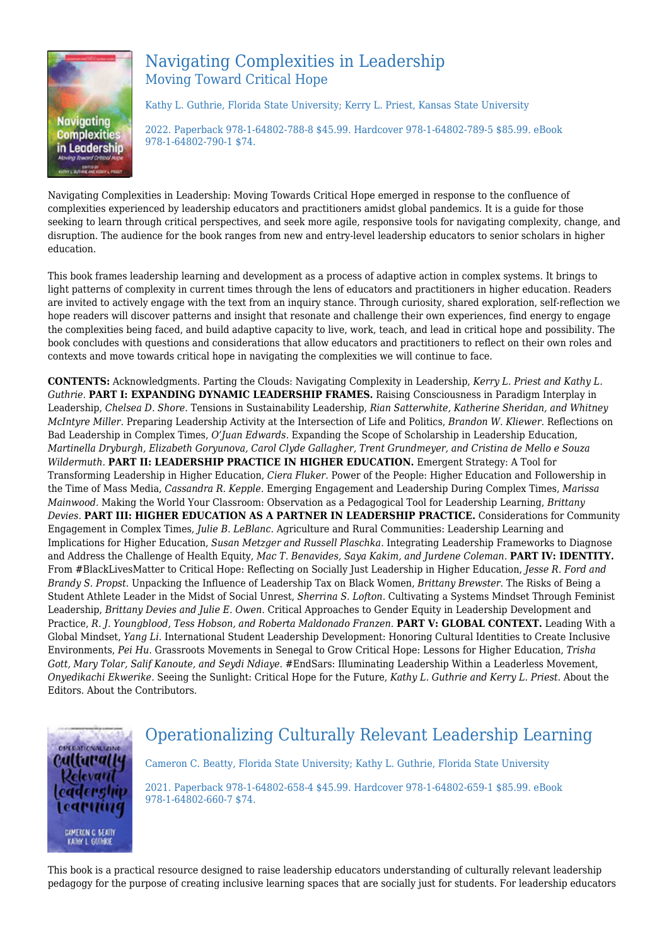

# Navigating Complexities in Leadership Moving Toward Critical Hope

Kathy L. Guthrie, Florida State University; Kerry L. Priest, Kansas State University

2022. Paperback 978-1-64802-788-8 \$45.99. Hardcover 978-1-64802-789-5 \$85.99. eBook 978-1-64802-790-1 \$74.

Navigating Complexities in Leadership: Moving Towards Critical Hope emerged in response to the confluence of complexities experienced by leadership educators and practitioners amidst global pandemics. It is a guide for those seeking to learn through critical perspectives, and seek more agile, responsive tools for navigating complexity, change, and disruption. The audience for the book ranges from new and entry-level leadership educators to senior scholars in higher education.

This book frames leadership learning and development as a process of adaptive action in complex systems. It brings to light patterns of complexity in current times through the lens of educators and practitioners in higher education. Readers are invited to actively engage with the text from an inquiry stance. Through curiosity, shared exploration, self-reflection we hope readers will discover patterns and insight that resonate and challenge their own experiences, find energy to engage the complexities being faced, and build adaptive capacity to live, work, teach, and lead in critical hope and possibility. The book concludes with questions and considerations that allow educators and practitioners to reflect on their own roles and contexts and move towards critical hope in navigating the complexities we will continue to face.

**CONTENTS:** Acknowledgments. Parting the Clouds: Navigating Complexity in Leadership, *Kerry L. Priest and Kathy L. Guthrie.* **PART I: EXPANDING DYNAMIC LEADERSHIP FRAMES.** Raising Consciousness in Paradigm Interplay in Leadership, *Chelsea D. Shore.* Tensions in Sustainability Leadership, *Rian Satterwhite, Katherine Sheridan, and Whitney McIntyre Miller.* Preparing Leadership Activity at the Intersection of Life and Politics, *Brandon W. Kliewer.* Reflections on Bad Leadership in Complex Times, *O'Juan Edwards.* Expanding the Scope of Scholarship in Leadership Education, *Martinella Dryburgh, Elizabeth Goryunova, Carol Clyde Gallagher, Trent Grundmeyer, and Cristina de Mello e Souza Wildermuth.* **PART II: LEADERSHIP PRACTICE IN HIGHER EDUCATION.** Emergent Strategy: A Tool for Transforming Leadership in Higher Education, *Ciera Fluker.* Power of the People: Higher Education and Followership in the Time of Mass Media, *Cassandra R. Kepple.* Emerging Engagement and Leadership During Complex Times, *Marissa Mainwood.* Making the World Your Classroom: Observation as a Pedagogical Tool for Leadership Learning, *Brittany Devies.* **PART III: HIGHER EDUCATION AS A PARTNER IN LEADERSHIP PRACTICE.** Considerations for Community Engagement in Complex Times, *Julie B. LeBlanc.* Agriculture and Rural Communities: Leadership Learning and Implications for Higher Education, *Susan Metzger and Russell Plaschka.* Integrating Leadership Frameworks to Diagnose and Address the Challenge of Health Equity, *Mac T. Benavides, Saya Kakim, and Jurdene Coleman.* **PART IV: IDENTITY.** From #BlackLivesMatter to Critical Hope: Reflecting on Socially Just Leadership in Higher Education, *Jesse R. Ford and Brandy S. Propst.* Unpacking the Influence of Leadership Tax on Black Women, *Brittany Brewster.* The Risks of Being a Student Athlete Leader in the Midst of Social Unrest, *Sherrina S. Lofton.* Cultivating a Systems Mindset Through Feminist Leadership, *Brittany Devies and Julie E. Owen.* Critical Approaches to Gender Equity in Leadership Development and Practice, *R. J. Youngblood, Tess Hobson, and Roberta Maldonado Franzen.* **PART V: GLOBAL CONTEXT.** Leading With a Global Mindset, *Yang Li.* International Student Leadership Development: Honoring Cultural Identities to Create Inclusive Environments, *Pei Hu.* Grassroots Movements in Senegal to Grow Critical Hope: Lessons for Higher Education, *Trisha Gott, Mary Tolar, Salif Kanoute, and Seydi Ndiaye.* #EndSars: Illuminating Leadership Within a Leaderless Movement, *Onyedikachi Ekwerike.* Seeing the Sunlight: Critical Hope for the Future, *Kathy L. Guthrie and Kerry L. Priest.* About the Editors. About the Contributors.



# Operationalizing Culturally Relevant Leadership Learning

Cameron C. Beatty, Florida State University; Kathy L. Guthrie, Florida State University

2021. Paperback 978-1-64802-658-4 \$45.99. Hardcover 978-1-64802-659-1 \$85.99. eBook 978-1-64802-660-7 \$74.

This book is a practical resource designed to raise leadership educators understanding of culturally relevant leadership pedagogy for the purpose of creating inclusive learning spaces that are socially just for students. For leadership educators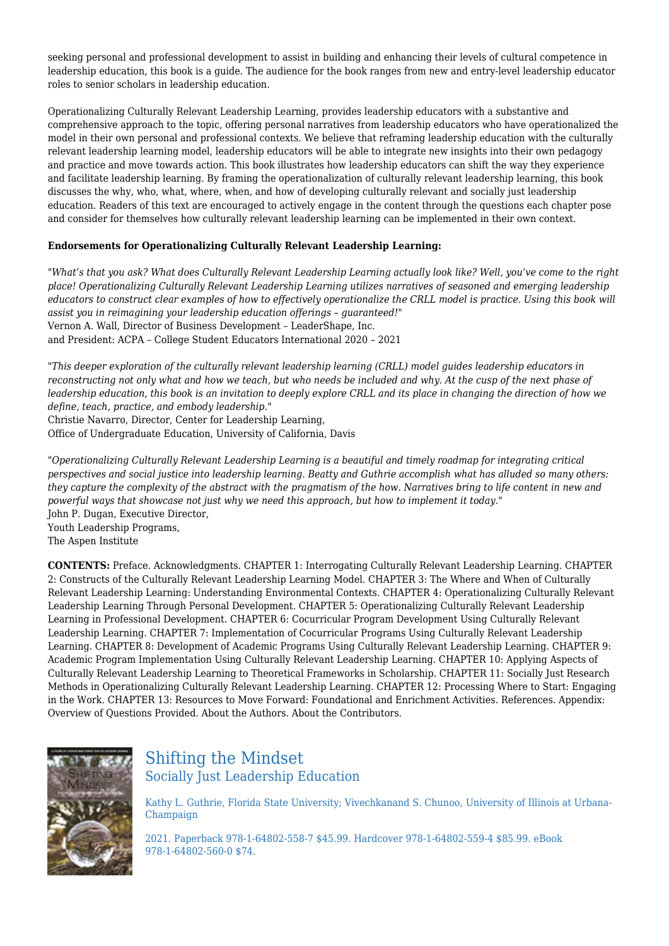seeking personal and professional development to assist in building and enhancing their levels of cultural competence in leadership education, this book is a guide. The audience for the book ranges from new and entry-level leadership educator roles to senior scholars in leadership education.

Operationalizing Culturally Relevant Leadership Learning, provides leadership educators with a substantive and comprehensive approach to the topic, offering personal narratives from leadership educators who have operationalized the model in their own personal and professional contexts. We believe that reframing leadership education with the culturally relevant leadership learning model, leadership educators will be able to integrate new insights into their own pedagogy and practice and move towards action. This book illustrates how leadership educators can shift the way they experience and facilitate leadership learning. By framing the operationalization of culturally relevant leadership learning, this book discusses the why, who, what, where, when, and how of developing culturally relevant and socially just leadership education. Readers of this text are encouraged to actively engage in the content through the questions each chapter pose and consider for themselves how culturally relevant leadership learning can be implemented in their own context.

#### **Endorsements for Operationalizing Culturally Relevant Leadership Learning:**

*"What's that you ask? What does Culturally Relevant Leadership Learning actually look like? Well, you've come to the right place! Operationalizing Culturally Relevant Leadership Learning utilizes narratives of seasoned and emerging leadership educators to construct clear examples of how to effectively operationalize the CRLL model is practice. Using this book will assist you in reimagining your leadership education offerings – guaranteed!"* Vernon A. Wall, Director of Business Development – LeaderShape, Inc.

and President: ACPA – College Student Educators International 2020 – 2021

*"This deeper exploration of the culturally relevant leadership learning (CRLL) model guides leadership educators in reconstructing not only what and how we teach, but who needs be included and why. At the cusp of the next phase of leadership education, this book is an invitation to deeply explore CRLL and its place in changing the direction of how we define, teach, practice, and embody leadership."*

Christie Navarro, Director, Center for Leadership Learning,

Office of Undergraduate Education, University of California, Davis

*"Operationalizing Culturally Relevant Leadership Learning is a beautiful and timely roadmap for integrating critical perspectives and social justice into leadership learning. Beatty and Guthrie accomplish what has alluded so many others: they capture the complexity of the abstract with the pragmatism of the how. Narratives bring to life content in new and powerful ways that showcase not just why we need this approach, but how to implement it today."* John P. Dugan, Executive Director, Youth Leadership Programs, The Aspen Institute

**CONTENTS:** Preface. Acknowledgments. CHAPTER 1: Interrogating Culturally Relevant Leadership Learning. CHAPTER 2: Constructs of the Culturally Relevant Leadership Learning Model. CHAPTER 3: The Where and When of Culturally Relevant Leadership Learning: Understanding Environmental Contexts. CHAPTER 4: Operationalizing Culturally Relevant Leadership Learning Through Personal Development. CHAPTER 5: Operationalizing Culturally Relevant Leadership Learning in Professional Development. CHAPTER 6: Cocurricular Program Development Using Culturally Relevant Leadership Learning. CHAPTER 7: Implementation of Cocurricular Programs Using Culturally Relevant Leadership Learning. CHAPTER 8: Development of Academic Programs Using Culturally Relevant Leadership Learning. CHAPTER 9: Academic Program Implementation Using Culturally Relevant Leadership Learning. CHAPTER 10: Applying Aspects of Culturally Relevant Leadership Learning to Theoretical Frameworks in Scholarship. CHAPTER 11: Socially Just Research Methods in Operationalizing Culturally Relevant Leadership Learning. CHAPTER 12: Processing Where to Start: Engaging in the Work. CHAPTER 13: Resources to Move Forward: Foundational and Enrichment Activities. References. Appendix: Overview of Questions Provided. About the Authors. About the Contributors.



# Shifting the Mindset Socially Just Leadership Education

Kathy L. Guthrie, Florida State University; Vivechkanand S. Chunoo, University of Illinois at Urbana-Champaign

2021. Paperback 978-1-64802-558-7 \$45.99. Hardcover 978-1-64802-559-4 \$85.99. eBook 978-1-64802-560-0 \$74.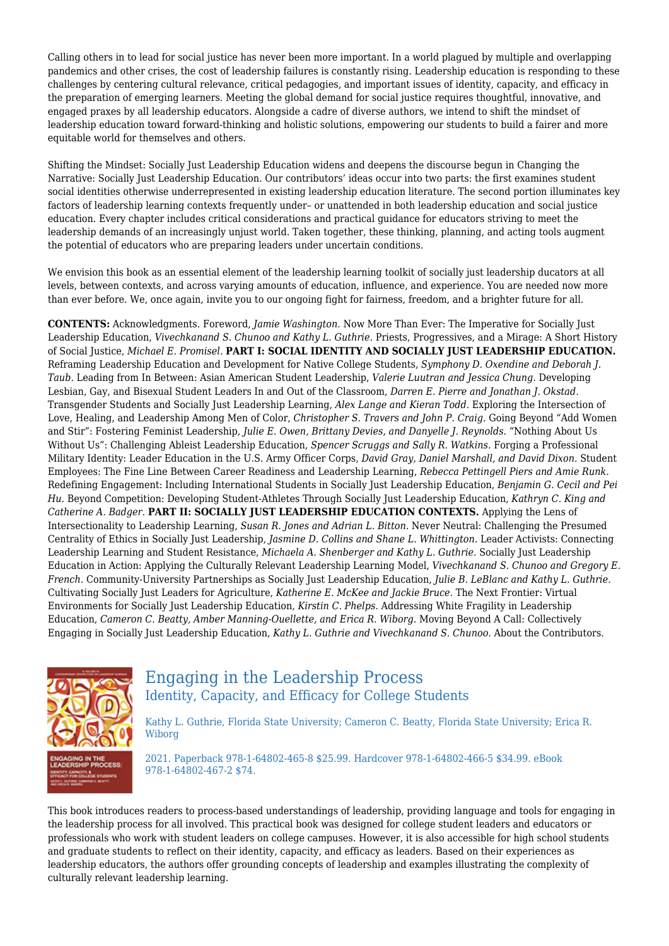Calling others in to lead for social justice has never been more important. In a world plagued by multiple and overlapping pandemics and other crises, the cost of leadership failures is constantly rising. Leadership education is responding to these challenges by centering cultural relevance, critical pedagogies, and important issues of identity, capacity, and efficacy in the preparation of emerging learners. Meeting the global demand for social justice requires thoughtful, innovative, and engaged praxes by all leadership educators. Alongside a cadre of diverse authors, we intend to shift the mindset of leadership education toward forward-thinking and holistic solutions, empowering our students to build a fairer and more equitable world for themselves and others.

Shifting the Mindset: Socially Just Leadership Education widens and deepens the discourse begun in Changing the Narrative: Socially Just Leadership Education. Our contributors' ideas occur into two parts: the first examines student social identities otherwise underrepresented in existing leadership education literature. The second portion illuminates key factors of leadership learning contexts frequently under– or unattended in both leadership education and social justice education. Every chapter includes critical considerations and practical guidance for educators striving to meet the leadership demands of an increasingly unjust world. Taken together, these thinking, planning, and acting tools augment the potential of educators who are preparing leaders under uncertain conditions.

We envision this book as an essential element of the leadership learning toolkit of socially just leadership ducators at all levels, between contexts, and across varying amounts of education, influence, and experience. You are needed now more than ever before. We, once again, invite you to our ongoing fight for fairness, freedom, and a brighter future for all.

**CONTENTS:** Acknowledgments. Foreword, *Jamie Washington.* Now More Than Ever: The Imperative for Socially Just Leadership Education, *Vivechkanand S. Chunoo and Kathy L. Guthrie.* Priests, Progressives, and a Mirage: A Short History of Social Justice, *Michael E. Promisel.* **PART I: SOCIAL IDENTITY AND SOCIALLY JUST LEADERSHIP EDUCATION.** Reframing Leadership Education and Development for Native College Students, *Symphony D. Oxendine and Deborah J. Taub.* Leading from In Between: Asian American Student Leadership, *Valerie Luutran and Jessica Chung.* Developing Lesbian, Gay, and Bisexual Student Leaders In and Out of the Classroom, *Darren E. Pierre and Jonathan J. Okstad.* Transgender Students and Socially Just Leadership Learning, *Alex Lange and Kieran Todd.* Exploring the Intersection of Love, Healing, and Leadership Among Men of Color, *Christopher S. Travers and John P. Craig.* Going Beyond "Add Women and Stir": Fostering Feminist Leadership, *Julie E. Owen, Brittany Devies, and Danyelle J. Reynolds.* "Nothing About Us Without Us": Challenging Ableist Leadership Education, *Spencer Scruggs and Sally R. Watkins.* Forging a Professional Military Identity: Leader Education in the U.S. Army Officer Corps, *David Gray, Daniel Marshall, and David Dixon.* Student Employees: The Fine Line Between Career Readiness and Leadership Learning, *Rebecca Pettingell Piers and Amie Runk.* Redefining Engagement: Including International Students in Socially Just Leadership Education, *Benjamin G. Cecil and Pei Hu.* Beyond Competition: Developing Student-Athletes Through Socially Just Leadership Education, *Kathryn C. King and Catherine A. Badger.* **PART II: SOCIALLY JUST LEADERSHIP EDUCATION CONTEXTS.** Applying the Lens of Intersectionality to Leadership Learning, *Susan R. Jones and Adrian L. Bitton.* Never Neutral: Challenging the Presumed Centrality of Ethics in Socially Just Leadership, *Jasmine D. Collins and Shane L. Whittington.* Leader Activists: Connecting Leadership Learning and Student Resistance, *Michaela A. Shenberger and Kathy L. Guthrie.* Socially Just Leadership Education in Action: Applying the Culturally Relevant Leadership Learning Model, *Vivechkanand S. Chunoo and Gregory E. French.* Community-University Partnerships as Socially Just Leadership Education, *Julie B. LeBlanc and Kathy L. Guthrie.* Cultivating Socially Just Leaders for Agriculture, *Katherine E. McKee and Jackie Bruce.* The Next Frontier: Virtual Environments for Socially Just Leadership Education, *Kirstin C. Phelps.* Addressing White Fragility in Leadership Education, *Cameron C. Beatty, Amber Manning-Ouellette, and Erica R. Wiborg.* Moving Beyond A Call: Collectively Engaging in Socially Just Leadership Education, *Kathy L. Guthrie and Vivechkanand S. Chunoo.* About the Contributors.



## Engaging in the Leadership Process Identity, Capacity, and Efficacy for College Students

Kathy L. Guthrie, Florida State University; Cameron C. Beatty, Florida State University; Erica R. Wiborg

2021. Paperback 978-1-64802-465-8 \$25.99. Hardcover 978-1-64802-466-5 \$34.99. eBook 978-1-64802-467-2 \$74.

This book introduces readers to process-based understandings of leadership, providing language and tools for engaging in the leadership process for all involved. This practical book was designed for college student leaders and educators or professionals who work with student leaders on college campuses. However, it is also accessible for high school students and graduate students to reflect on their identity, capacity, and efficacy as leaders. Based on their experiences as leadership educators, the authors offer grounding concepts of leadership and examples illustrating the complexity of culturally relevant leadership learning.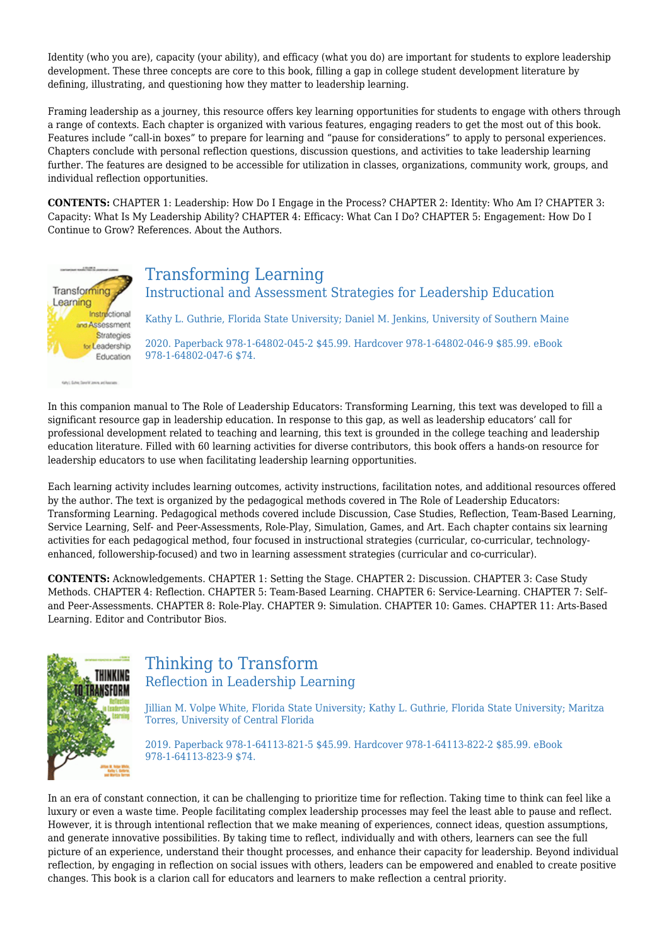Identity (who you are), capacity (your ability), and efficacy (what you do) are important for students to explore leadership development. These three concepts are core to this book, filling a gap in college student development literature by defining, illustrating, and questioning how they matter to leadership learning.

Framing leadership as a journey, this resource offers key learning opportunities for students to engage with others through a range of contexts. Each chapter is organized with various features, engaging readers to get the most out of this book. Features include "call-in boxes" to prepare for learning and "pause for considerations" to apply to personal experiences. Chapters conclude with personal reflection questions, discussion questions, and activities to take leadership learning further. The features are designed to be accessible for utilization in classes, organizations, community work, groups, and individual reflection opportunities.

**CONTENTS:** CHAPTER 1: Leadership: How Do I Engage in the Process? CHAPTER 2: Identity: Who Am I? CHAPTER 3: Capacity: What Is My Leadership Ability? CHAPTER 4: Efficacy: What Can I Do? CHAPTER 5: Engagement: How Do I Continue to Grow? References. About the Authors.



Kelly) Suite South Japan and Australia

# Transforming Learning

Instructional and Assessment Strategies for Leadership Education

Kathy L. Guthrie, Florida State University; Daniel M. Jenkins, University of Southern Maine

2020. Paperback 978-1-64802-045-2 \$45.99. Hardcover 978-1-64802-046-9 \$85.99. eBook 978-1-64802-047-6 \$74.

In this companion manual to The Role of Leadership Educators: Transforming Learning, this text was developed to fill a significant resource gap in leadership education. In response to this gap, as well as leadership educators' call for professional development related to teaching and learning, this text is grounded in the college teaching and leadership education literature. Filled with 60 learning activities for diverse contributors, this book offers a hands-on resource for leadership educators to use when facilitating leadership learning opportunities.

Each learning activity includes learning outcomes, activity instructions, facilitation notes, and additional resources offered by the author. The text is organized by the pedagogical methods covered in The Role of Leadership Educators: Transforming Learning. Pedagogical methods covered include Discussion, Case Studies, Reflection, Team-Based Learning, Service Learning, Self- and Peer-Assessments, Role-Play, Simulation, Games, and Art. Each chapter contains six learning activities for each pedagogical method, four focused in instructional strategies (curricular, co-curricular, technologyenhanced, followership-focused) and two in learning assessment strategies (curricular and co-curricular).

**CONTENTS:** Acknowledgements. CHAPTER 1: Setting the Stage. CHAPTER 2: Discussion. CHAPTER 3: Case Study Methods. CHAPTER 4: Reflection. CHAPTER 5: Team-Based Learning. CHAPTER 6: Service-Learning. CHAPTER 7: Self– and Peer-Assessments. CHAPTER 8: Role-Play. CHAPTER 9: Simulation. CHAPTER 10: Games. CHAPTER 11: Arts-Based Learning. Editor and Contributor Bios.



## Thinking to Transform Reflection in Leadership Learning

Jillian M. Volpe White, Florida State University; Kathy L. Guthrie, Florida State University; Maritza Torres, University of Central Florida

2019. Paperback 978-1-64113-821-5 \$45.99. Hardcover 978-1-64113-822-2 \$85.99. eBook 978-1-64113-823-9 \$74.

In an era of constant connection, it can be challenging to prioritize time for reflection. Taking time to think can feel like a luxury or even a waste time. People facilitating complex leadership processes may feel the least able to pause and reflect. However, it is through intentional reflection that we make meaning of experiences, connect ideas, question assumptions, and generate innovative possibilities. By taking time to reflect, individually and with others, learners can see the full picture of an experience, understand their thought processes, and enhance their capacity for leadership. Beyond individual reflection, by engaging in reflection on social issues with others, leaders can be empowered and enabled to create positive changes. This book is a clarion call for educators and learners to make reflection a central priority.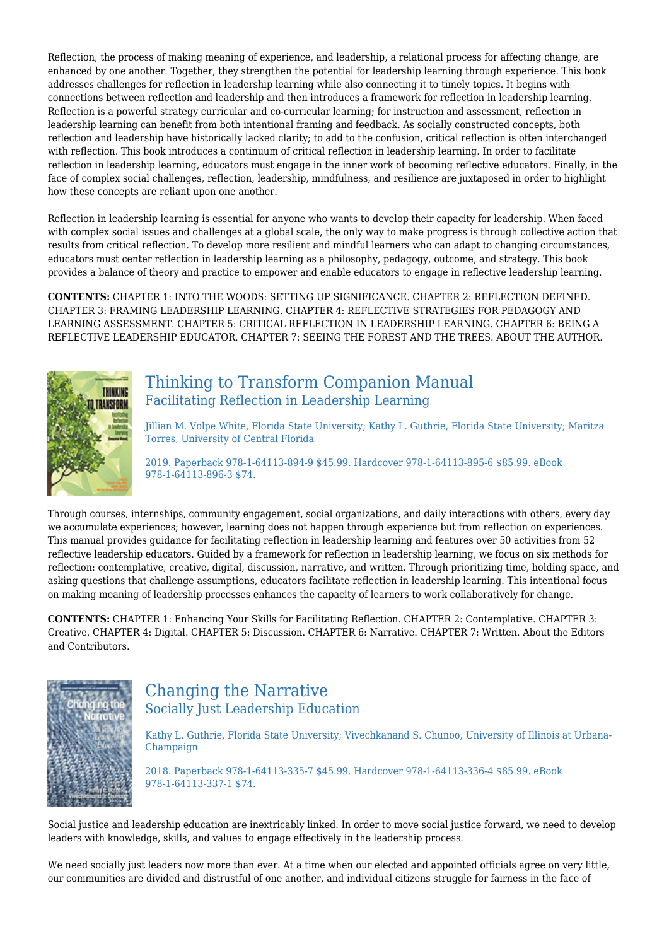Reflection, the process of making meaning of experience, and leadership, a relational process for affecting change, are enhanced by one another. Together, they strengthen the potential for leadership learning through experience. This book addresses challenges for reflection in leadership learning while also connecting it to timely topics. It begins with connections between reflection and leadership and then introduces a framework for reflection in leadership learning. Reflection is a powerful strategy curricular and co-curricular learning; for instruction and assessment, reflection in leadership learning can benefit from both intentional framing and feedback. As socially constructed concepts, both reflection and leadership have historically lacked clarity; to add to the confusion, critical reflection is often interchanged with reflection. This book introduces a continuum of critical reflection in leadership learning. In order to facilitate reflection in leadership learning, educators must engage in the inner work of becoming reflective educators. Finally, in the face of complex social challenges, reflection, leadership, mindfulness, and resilience are juxtaposed in order to highlight how these concepts are reliant upon one another.

Reflection in leadership learning is essential for anyone who wants to develop their capacity for leadership. When faced with complex social issues and challenges at a global scale, the only way to make progress is through collective action that results from critical reflection. To develop more resilient and mindful learners who can adapt to changing circumstances, educators must center reflection in leadership learning as a philosophy, pedagogy, outcome, and strategy. This book provides a balance of theory and practice to empower and enable educators to engage in reflective leadership learning.

**CONTENTS:** CHAPTER 1: INTO THE WOODS: SETTING UP SIGNIFICANCE. CHAPTER 2: REFLECTION DEFINED. CHAPTER 3: FRAMING LEADERSHIP LEARNING. CHAPTER 4: REFLECTIVE STRATEGIES FOR PEDAGOGY AND LEARNING ASSESSMENT. CHAPTER 5: CRITICAL REFLECTION IN LEADERSHIP LEARNING. CHAPTER 6: BEING A REFLECTIVE LEADERSHIP EDUCATOR. CHAPTER 7: SEEING THE FOREST AND THE TREES. ABOUT THE AUTHOR.



## Thinking to Transform Companion Manual Facilitating Reflection in Leadership Learning

Jillian M. Volpe White, Florida State University; Kathy L. Guthrie, Florida State University; Maritza Torres, University of Central Florida

2019. Paperback 978-1-64113-894-9 \$45.99. Hardcover 978-1-64113-895-6 \$85.99. eBook 978-1-64113-896-3 \$74.

Through courses, internships, community engagement, social organizations, and daily interactions with others, every day we accumulate experiences; however, learning does not happen through experience but from reflection on experiences. This manual provides guidance for facilitating reflection in leadership learning and features over 50 activities from 52 reflective leadership educators. Guided by a framework for reflection in leadership learning, we focus on six methods for reflection: contemplative, creative, digital, discussion, narrative, and written. Through prioritizing time, holding space, and asking questions that challenge assumptions, educators facilitate reflection in leadership learning. This intentional focus on making meaning of leadership processes enhances the capacity of learners to work collaboratively for change.

**CONTENTS:** CHAPTER 1: Enhancing Your Skills for Facilitating Reflection. CHAPTER 2: Contemplative. CHAPTER 3: Creative. CHAPTER 4: Digital. CHAPTER 5: Discussion. CHAPTER 6: Narrative. CHAPTER 7: Written. About the Editors and Contributors.



#### Changing the Narrative Socially Just Leadership Education

Kathy L. Guthrie, Florida State University; Vivechkanand S. Chunoo, University of Illinois at Urbana-Champaign

2018. Paperback 978-1-64113-335-7 \$45.99. Hardcover 978-1-64113-336-4 \$85.99. eBook 978-1-64113-337-1 \$74.

Social justice and leadership education are inextricably linked. In order to move social justice forward, we need to develop leaders with knowledge, skills, and values to engage effectively in the leadership process.

We need socially just leaders now more than ever. At a time when our elected and appointed officials agree on very little, our communities are divided and distrustful of one another, and individual citizens struggle for fairness in the face of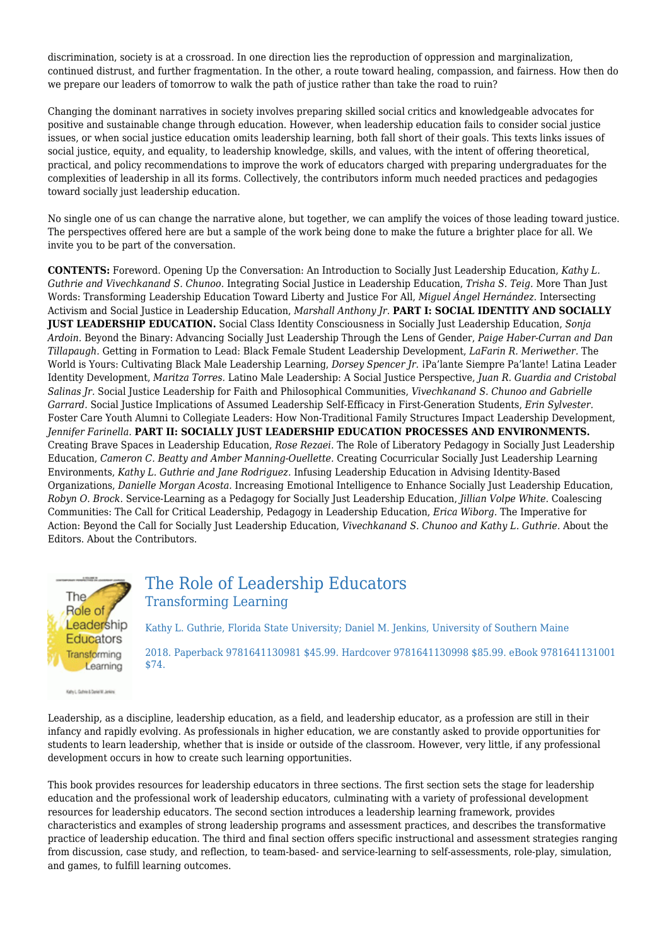discrimination, society is at a crossroad. In one direction lies the reproduction of oppression and marginalization, continued distrust, and further fragmentation. In the other, a route toward healing, compassion, and fairness. How then do we prepare our leaders of tomorrow to walk the path of justice rather than take the road to ruin?

Changing the dominant narratives in society involves preparing skilled social critics and knowledgeable advocates for positive and sustainable change through education. However, when leadership education fails to consider social justice issues, or when social justice education omits leadership learning, both fall short of their goals. This texts links issues of social justice, equity, and equality, to leadership knowledge, skills, and values, with the intent of offering theoretical, practical, and policy recommendations to improve the work of educators charged with preparing undergraduates for the complexities of leadership in all its forms. Collectively, the contributors inform much needed practices and pedagogies toward socially just leadership education.

No single one of us can change the narrative alone, but together, we can amplify the voices of those leading toward justice. The perspectives offered here are but a sample of the work being done to make the future a brighter place for all. We invite you to be part of the conversation.

**CONTENTS:** Foreword. Opening Up the Conversation: An Introduction to Socially Just Leadership Education, *Kathy L. Guthrie and Vivechkanand S. Chunoo.* Integrating Social Justice in Leadership Education, *Trisha S. Teig.* More Than Just Words: Transforming Leadership Education Toward Liberty and Justice For All, *Miguel Ángel Hernández.* Intersecting Activism and Social Justice in Leadership Education, *Marshall Anthony Jr.* **PART I: SOCIAL IDENTITY AND SOCIALLY JUST LEADERSHIP EDUCATION.** Social Class Identity Consciousness in Socially Just Leadership Education, *Sonja Ardoin.* Beyond the Binary: Advancing Socially Just Leadership Through the Lens of Gender, *Paige Haber-Curran and Dan Tillapaugh.* Getting in Formation to Lead: Black Female Student Leadership Development, *LaFarin R. Meriwether.* The World is Yours: Cultivating Black Male Leadership Learning, *Dorsey Spencer Jr.* ¡Pa'lante Siempre Pa'lante! Latina Leader Identity Development, *Maritza Torres.* Latino Male Leadership: A Social Justice Perspective, *Juan R. Guardia and Cristobal Salinas Jr.* Social Justice Leadership for Faith and Philosophical Communities, *Vivechkanand S. Chunoo and Gabrielle Garrard.* Social Justice Implications of Assumed Leadership Self-Efficacy in First-Generation Students, *Erin Sylvester.* Foster Care Youth Alumni to Collegiate Leaders: How Non-Traditional Family Structures Impact Leadership Development, *Jennifer Farinella.* **PART II: SOCIALLY JUST LEADERSHIP EDUCATION PROCESSES AND ENVIRONMENTS.** Creating Brave Spaces in Leadership Education, *Rose Rezaei.* The Role of Liberatory Pedagogy in Socially Just Leadership Education, *Cameron C. Beatty and Amber Manning-Ouellette.* Creating Cocurricular Socially Just Leadership Learning Environments, *Kathy L. Guthrie and Jane Rodriguez.* Infusing Leadership Education in Advising Identity-Based Organizations, *Danielle Morgan Acosta.* Increasing Emotional Intelligence to Enhance Socially Just Leadership Education, *Robyn O. Brock.* Service-Learning as a Pedagogy for Socially Just Leadership Education, *Jillian Volpe White.* Coalescing Communities: The Call for Critical Leadership, Pedagogy in Leadership Education, *Erica Wiborg.* The Imperative for Action: Beyond the Call for Socially Just Leadership Education, *Vivechkanand S. Chunoo and Kathy L. Guthrie.* About the Editors. About the Contributors.



Kathy L. Guther & Daniel M. Jerkins

\$74.

## The Role of Leadership Educators Transforming Learning

Kathy L. Guthrie, Florida State University; Daniel M. Jenkins, University of Southern Maine 2018. Paperback 9781641130981 \$45.99. Hardcover 9781641130998 \$85.99. eBook 9781641131001

Leadership, as a discipline, leadership education, as a field, and leadership educator, as a profession are still in their infancy and rapidly evolving. As professionals in higher education, we are constantly asked to provide opportunities for students to learn leadership, whether that is inside or outside of the classroom. However, very little, if any professional development occurs in how to create such learning opportunities.

This book provides resources for leadership educators in three sections. The first section sets the stage for leadership education and the professional work of leadership educators, culminating with a variety of professional development resources for leadership educators. The second section introduces a leadership learning framework, provides characteristics and examples of strong leadership programs and assessment practices, and describes the transformative practice of leadership education. The third and final section offers specific instructional and assessment strategies ranging from discussion, case study, and reflection, to team-based- and service-learning to self-assessments, role-play, simulation, and games, to fulfill learning outcomes.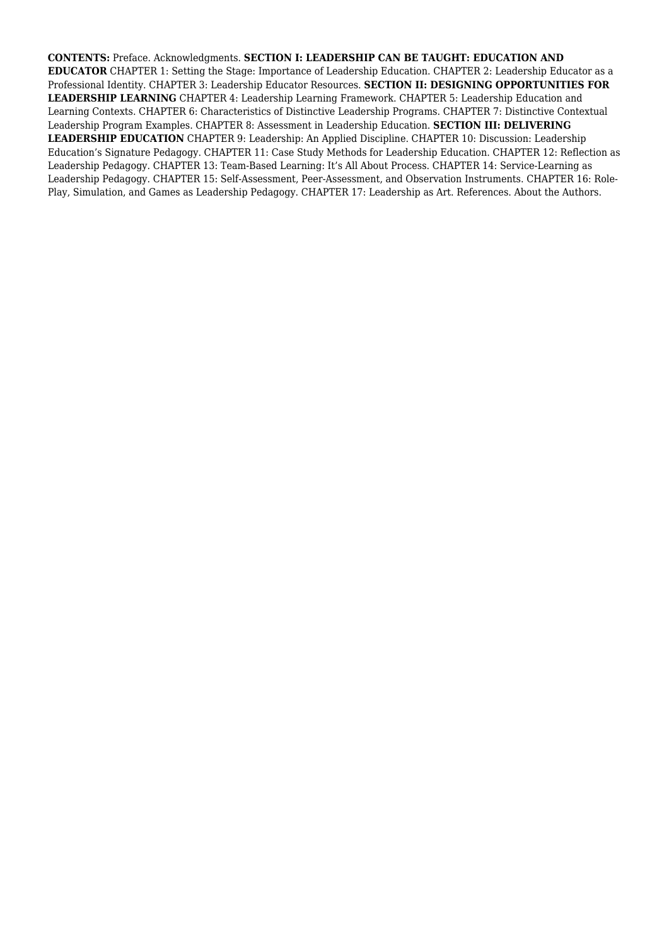**CONTENTS:** Preface. Acknowledgments. **SECTION I: LEADERSHIP CAN BE TAUGHT: EDUCATION AND EDUCATOR** CHAPTER 1: Setting the Stage: Importance of Leadership Education. CHAPTER 2: Leadership Educator as a Professional Identity. CHAPTER 3: Leadership Educator Resources. **SECTION II: DESIGNING OPPORTUNITIES FOR LEADERSHIP LEARNING** CHAPTER 4: Leadership Learning Framework. CHAPTER 5: Leadership Education and Learning Contexts. CHAPTER 6: Characteristics of Distinctive Leadership Programs. CHAPTER 7: Distinctive Contextual Leadership Program Examples. CHAPTER 8: Assessment in Leadership Education. **SECTION III: DELIVERING LEADERSHIP EDUCATION** CHAPTER 9: Leadership: An Applied Discipline. CHAPTER 10: Discussion: Leadership Education's Signature Pedagogy. CHAPTER 11: Case Study Methods for Leadership Education. CHAPTER 12: Reflection as Leadership Pedagogy. CHAPTER 13: Team-Based Learning: It's All About Process. CHAPTER 14: Service-Learning as Leadership Pedagogy. CHAPTER 15: Self-Assessment, Peer-Assessment, and Observation Instruments. CHAPTER 16: Role-Play, Simulation, and Games as Leadership Pedagogy. CHAPTER 17: Leadership as Art. References. About the Authors.